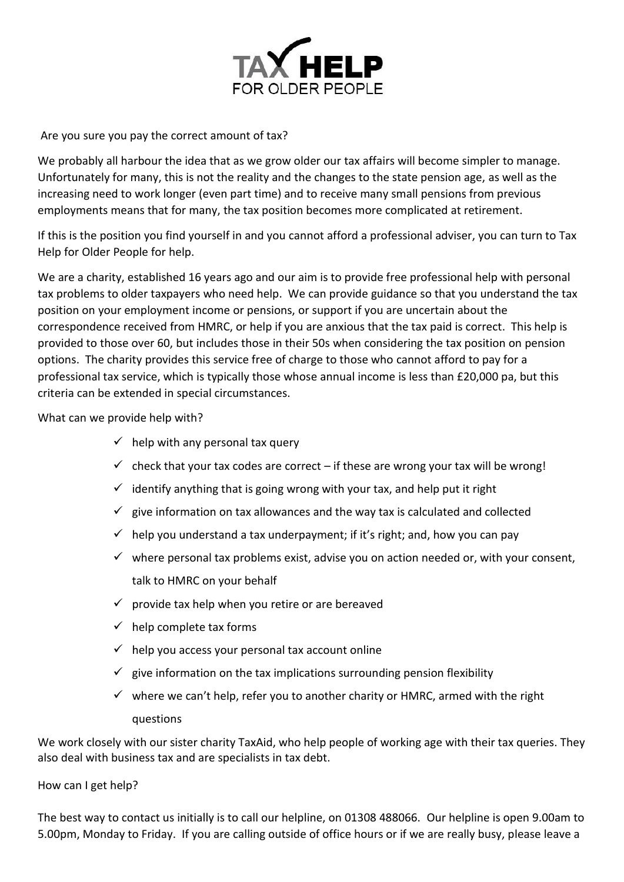

Are you sure you pay the correct amount of tax?

We probably all harbour the idea that as we grow older our tax affairs will become simpler to manage. Unfortunately for many, this is not the reality and the changes to the state pension age, as well as the increasing need to work longer (even part time) and to receive many small pensions from previous employments means that for many, the tax position becomes more complicated at retirement.

If this is the position you find yourself in and you cannot afford a professional adviser, you can turn to Tax Help for Older People for help.

We are a charity, established 16 years ago and our aim is to provide free professional help with personal tax problems to older taxpayers who need help. We can provide guidance so that you understand the tax position on your employment income or pensions, or support if you are uncertain about the correspondence received from HMRC, or help if you are anxious that the tax paid is correct. This help is provided to those over 60, but includes those in their 50s when considering the tax position on pension options. The charity provides this service free of charge to those who cannot afford to pay for a professional tax service, which is typically those whose annual income is less than £20,000 pa, but this criteria can be extended in special circumstances.

What can we provide help with?

- $\checkmark$  help with any personal tax query
- $\checkmark$  check that your tax codes are correct if these are wrong your tax will be wrong!
- $\checkmark$  identify anything that is going wrong with your tax, and help put it right
- $\checkmark$  give information on tax allowances and the way tax is calculated and collected
- $\checkmark$  help you understand a tax underpayment; if it's right; and, how you can pay
- $\checkmark$  where personal tax problems exist, advise you on action needed or, with your consent, talk to HMRC on your behalf
- $\checkmark$  provide tax help when you retire or are bereaved
- $\checkmark$  help complete tax forms
- $\checkmark$  help you access your personal tax account online
- $\checkmark$  give information on the tax implications surrounding pension flexibility
- $\checkmark$  where we can't help, refer you to another charity or HMRC, armed with the right questions

We work closely with our sister charity TaxAid, who help people of working age with their tax queries. They also deal with business tax and are specialists in tax debt.

How can I get help?

The best way to contact us initially is to call our helpline, on 01308 488066. Our helpline is open 9.00am to 5.00pm, Monday to Friday. If you are calling outside of office hours or if we are really busy, please leave a